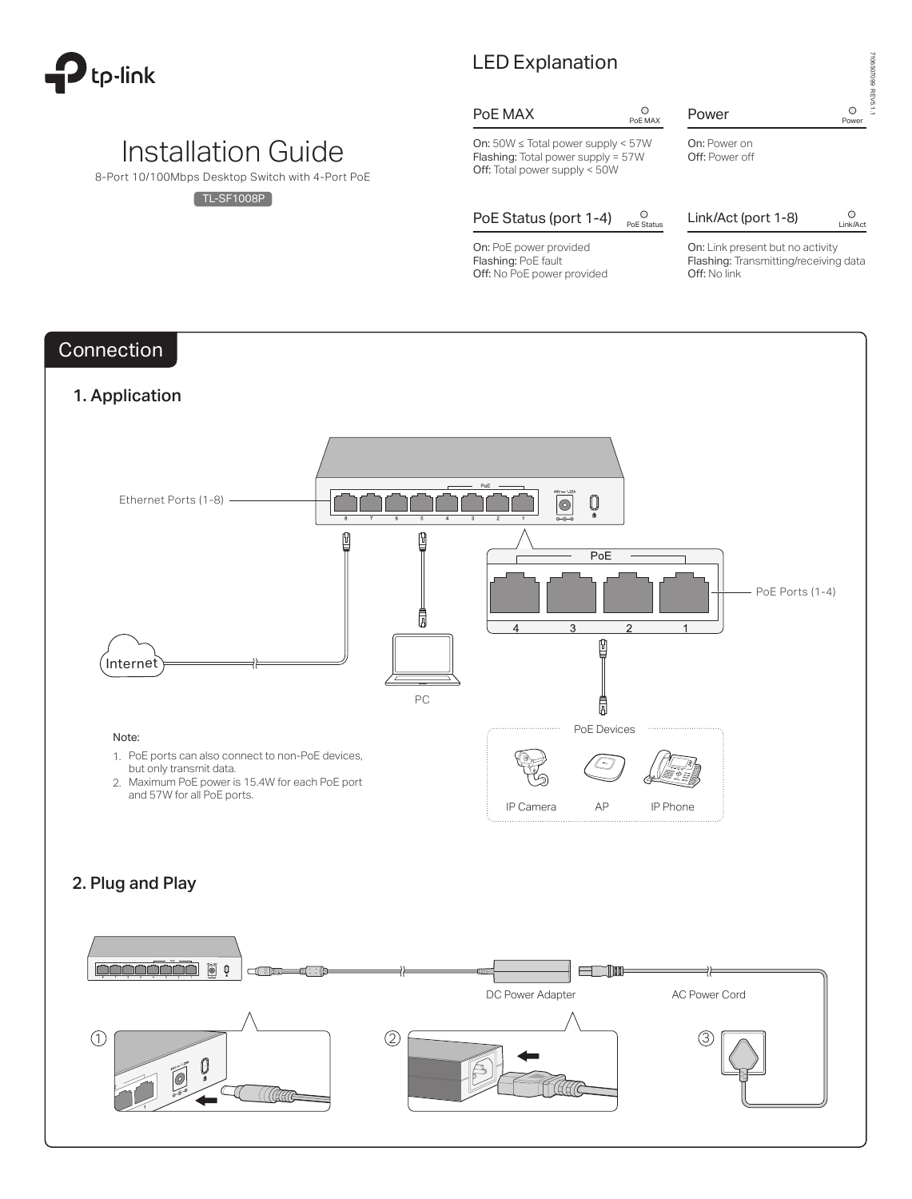

# Installation Guide

8-Port 10/100Mbps Desktop Switch with 4-Port PoE

 $[TL-SF1008P]$ 

# LED Explanation

# PoE MAX  $_{PoEMAX}$

### Power 
<sup>O</sup>
<sup>Power</sup>

On: 50W ≤ Total power supply < 57W Flashing: Total power supply = 57W Off: Total power supply < 50W

PoE Status (port  $1-4$ )  $_{PoE\text{ Status}}^{\circ}$ 

On: PoE power provided Flashing: PoE fault Off: No PoE power provided



# Link/Act (port 1-8)  $\bigcirc$  Link/Act

On: Link present but no activity Flashing: Transmitting/receiving data Off: No link